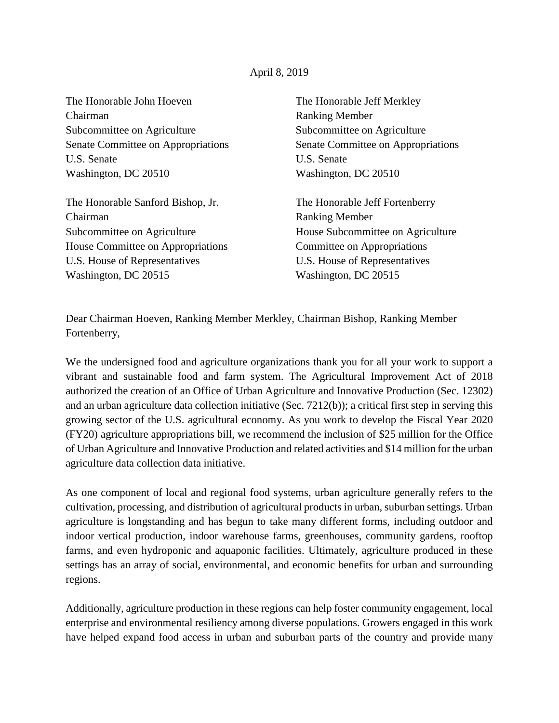## April 8, 2019

The Honorable John Hoeven Chairman Subcommittee on Agriculture Senate Committee on Appropriations U.S. Senate Washington, DC 20510

The Honorable Sanford Bishop, Jr. Chairman Subcommittee on Agriculture House Committee on Appropriations U.S. House of Representatives Washington, DC 20515

The Honorable Jeff Merkley Ranking Member Subcommittee on Agriculture Senate Committee on Appropriations U.S. Senate Washington, DC 20510

The Honorable Jeff Fortenberry Ranking Member House Subcommittee on Agriculture Committee on Appropriations U.S. House of Representatives Washington, DC 20515

Dear Chairman Hoeven, Ranking Member Merkley, Chairman Bishop, Ranking Member Fortenberry,

We the undersigned food and agriculture organizations thank you for all your work to support a vibrant and sustainable food and farm system. The Agricultural Improvement Act of 2018 authorized the creation of an Office of Urban Agriculture and Innovative Production (Sec. 12302) and an urban agriculture data collection initiative (Sec. 7212(b)); a critical first step in serving this growing sector of the U.S. agricultural economy. As you work to develop the Fiscal Year 2020 (FY20) agriculture appropriations bill, we recommend the inclusion of \$25 million for the Office of Urban Agriculture and Innovative Production and related activities and \$14 million for the urban agriculture data collection data initiative.

As one component of local and regional food systems, urban agriculture generally refers to the cultivation, processing, and distribution of agricultural products in urban, suburban settings. Urban agriculture is longstanding and has begun to take many different forms, including outdoor and indoor vertical production, indoor warehouse farms, greenhouses, community gardens, rooftop farms, and even hydroponic and aquaponic facilities. Ultimately, agriculture produced in these settings has an array of social, environmental, and economic benefits for urban and surrounding regions.

Additionally, agriculture production in these regions can help foster community engagement, local enterprise and environmental resiliency among diverse populations. Growers engaged in this work have helped expand food access in urban and suburban parts of the country and provide many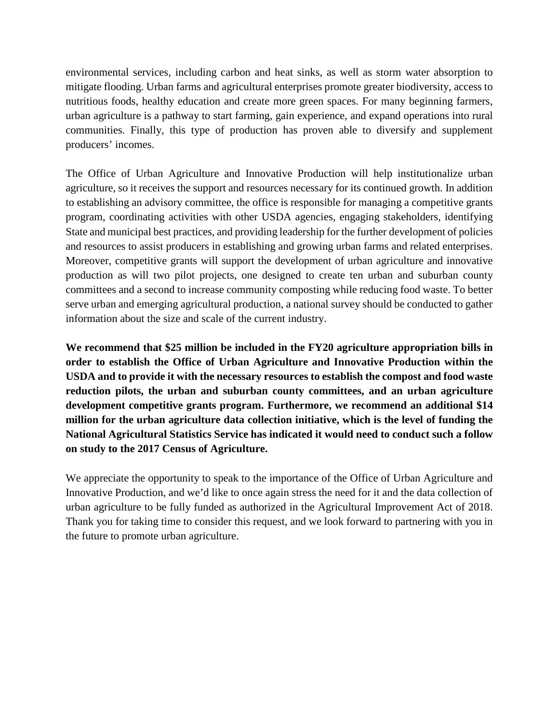environmental services, including carbon and heat sinks, as well as storm water absorption to mitigate flooding. Urban farms and agricultural enterprises promote greater biodiversity, access to nutritious foods, healthy education and create more green spaces. For many beginning farmers, urban agriculture is a pathway to start farming, gain experience, and expand operations into rural communities. Finally, this type of production has proven able to diversify and supplement producers' incomes.

The Office of Urban Agriculture and Innovative Production will help institutionalize urban agriculture, so it receives the support and resources necessary for its continued growth. In addition to establishing an advisory committee, the office is responsible for managing a competitive grants program, coordinating activities with other USDA agencies, engaging stakeholders, identifying State and municipal best practices, and providing leadership for the further development of policies and resources to assist producers in establishing and growing urban farms and related enterprises. Moreover, competitive grants will support the development of urban agriculture and innovative production as will two pilot projects, one designed to create ten urban and suburban county committees and a second to increase community composting while reducing food waste. To better serve urban and emerging agricultural production, a national survey should be conducted to gather information about the size and scale of the current industry.

**We recommend that \$25 million be included in the FY20 agriculture appropriation bills in order to establish the Office of Urban Agriculture and Innovative Production within the USDA and to provide it with the necessary resources to establish the compost and food waste reduction pilots, the urban and suburban county committees, and an urban agriculture development competitive grants program. Furthermore, we recommend an additional \$14 million for the urban agriculture data collection initiative, which is the level of funding the National Agricultural Statistics Service has indicated it would need to conduct such a follow on study to the 2017 Census of Agriculture.** 

We appreciate the opportunity to speak to the importance of the Office of Urban Agriculture and Innovative Production, and we'd like to once again stress the need for it and the data collection of urban agriculture to be fully funded as authorized in the Agricultural Improvement Act of 2018. Thank you for taking time to consider this request, and we look forward to partnering with you in the future to promote urban agriculture.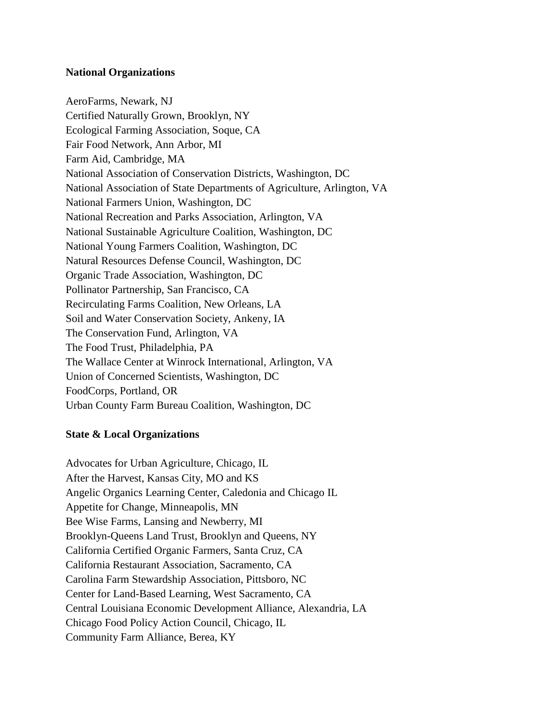## **National Organizations**

AeroFarms, Newark, NJ Certified Naturally Grown, Brooklyn, NY Ecological Farming Association, Soque, CA Fair Food Network, Ann Arbor, MI Farm Aid, Cambridge, MA National Association of Conservation Districts, Washington, DC National Association of State Departments of Agriculture, Arlington, VA National Farmers Union, Washington, DC National Recreation and Parks Association, Arlington, VA National Sustainable Agriculture Coalition, Washington, DC National Young Farmers Coalition, Washington, DC Natural Resources Defense Council, Washington, DC Organic Trade Association, Washington, DC Pollinator Partnership, San Francisco, CA Recirculating Farms Coalition, New Orleans, LA Soil and Water Conservation Society, Ankeny, IA The Conservation Fund, Arlington, VA The Food Trust, Philadelphia, PA The Wallace Center at Winrock International, Arlington, VA Union of Concerned Scientists, Washington, DC FoodCorps, Portland, OR Urban County Farm Bureau Coalition, Washington, DC

## **State & Local Organizations**

Advocates for Urban Agriculture, Chicago, IL After the Harvest, Kansas City, MO and KS Angelic Organics Learning Center, Caledonia and Chicago IL Appetite for Change, Minneapolis, MN Bee Wise Farms, Lansing and Newberry, MI Brooklyn-Queens Land Trust, Brooklyn and Queens, NY California Certified Organic Farmers, Santa Cruz, CA California Restaurant Association, Sacramento, CA Carolina Farm Stewardship Association, Pittsboro, NC Center for Land-Based Learning, West Sacramento, CA Central Louisiana Economic Development Alliance, Alexandria, LA Chicago Food Policy Action Council, Chicago, IL Community Farm Alliance, Berea, KY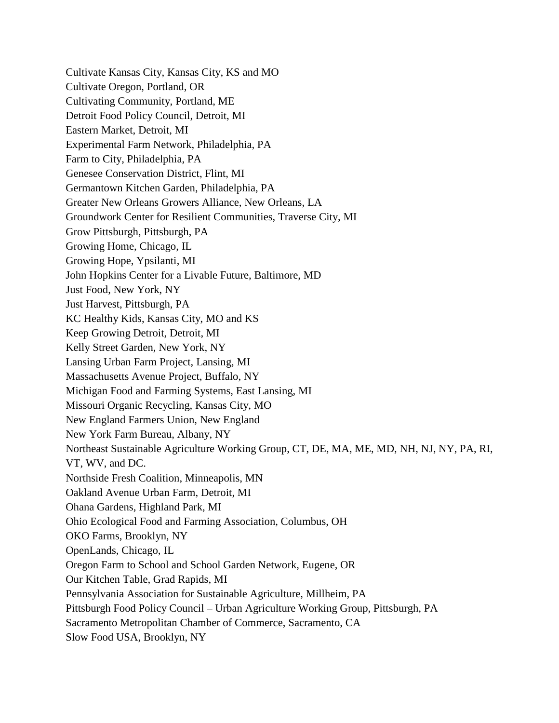Cultivate Kansas City, Kansas City, KS and MO Cultivate Oregon, Portland, OR Cultivating Community, Portland, ME Detroit Food Policy Council, Detroit, MI Eastern Market, Detroit, MI Experimental Farm Network, Philadelphia, PA Farm to City, Philadelphia, PA Genesee Conservation District, Flint, MI Germantown Kitchen Garden, Philadelphia, PA Greater New Orleans Growers Alliance, New Orleans, LA Groundwork Center for Resilient Communities, Traverse City, MI Grow Pittsburgh, Pittsburgh, PA Growing Home, Chicago, IL Growing Hope, Ypsilanti, MI John Hopkins Center for a Livable Future, Baltimore, MD Just Food, New York, NY Just Harvest, Pittsburgh, PA KC Healthy Kids, Kansas City, MO and KS Keep Growing Detroit, Detroit, MI Kelly Street Garden, New York, NY Lansing Urban Farm Project, Lansing, MI Massachusetts Avenue Project, Buffalo, NY Michigan Food and Farming Systems, East Lansing, MI Missouri Organic Recycling, Kansas City, MO New England Farmers Union, New England New York Farm Bureau, Albany, NY Northeast Sustainable Agriculture Working Group, CT, DE, MA, ME, MD, NH, NJ, NY, PA, RI, VT, WV, and DC. Northside Fresh Coalition, Minneapolis, MN Oakland Avenue Urban Farm, Detroit, MI Ohana Gardens, Highland Park, MI Ohio Ecological Food and Farming Association, Columbus, OH OKO Farms, Brooklyn, NY OpenLands, Chicago, IL Oregon Farm to School and School Garden Network, Eugene, OR Our Kitchen Table, Grad Rapids, MI Pennsylvania Association for Sustainable Agriculture, Millheim, PA Pittsburgh Food Policy Council – Urban Agriculture Working Group, Pittsburgh, PA Sacramento Metropolitan Chamber of Commerce, Sacramento, CA Slow Food USA, Brooklyn, NY